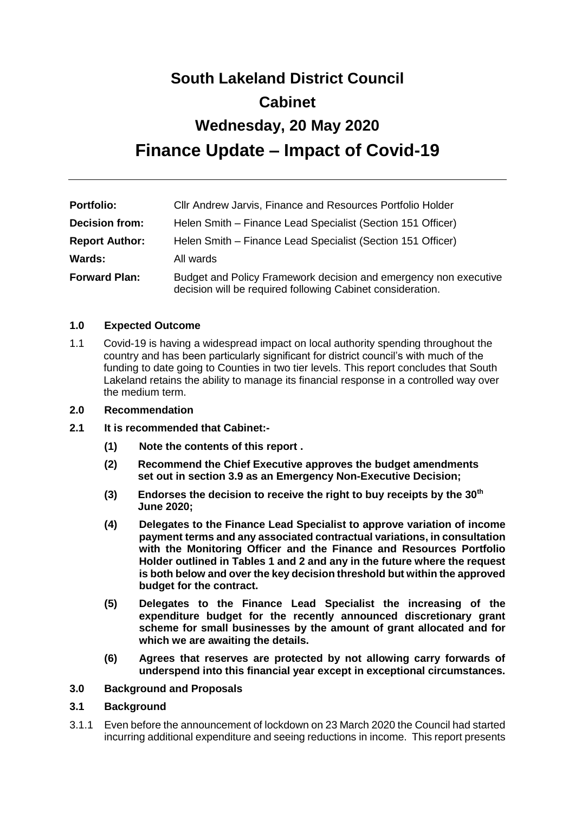# **South Lakeland District Council Cabinet Wednesday, 20 May 2020 Finance Update – Impact of Covid-19**

| <b>Portfolio:</b>     | Cllr Andrew Jarvis, Finance and Resources Portfolio Holder                                                                     |
|-----------------------|--------------------------------------------------------------------------------------------------------------------------------|
| <b>Decision from:</b> | Helen Smith - Finance Lead Specialist (Section 151 Officer)                                                                    |
| <b>Report Author:</b> | Helen Smith – Finance Lead Specialist (Section 151 Officer)                                                                    |
| Wards:                | All wards                                                                                                                      |
| <b>Forward Plan:</b>  | Budget and Policy Framework decision and emergency non executive<br>decision will be required following Cabinet consideration. |

#### **1.0 Expected Outcome**

1.1 Covid-19 is having a widespread impact on local authority spending throughout the country and has been particularly significant for district council's with much of the funding to date going to Counties in two tier levels. This report concludes that South Lakeland retains the ability to manage its financial response in a controlled way over the medium term.

#### **2.0 Recommendation**

- **2.1 It is recommended that Cabinet:-**
	- **(1) Note the contents of this report .**
	- **(2) Recommend the Chief Executive approves the budget amendments set out in section 3.9 as an Emergency Non-Executive Decision;**
	- **(3) Endorses the decision to receive the right to buy receipts by the 30th June 2020;**
	- **(4) Delegates to the Finance Lead Specialist to approve variation of income payment terms and any associated contractual variations, in consultation with the Monitoring Officer and the Finance and Resources Portfolio Holder outlined in Tables 1 and 2 and any in the future where the request is both below and over the key decision threshold but within the approved budget for the contract.**
	- **(5) Delegates to the Finance Lead Specialist the increasing of the expenditure budget for the recently announced discretionary grant scheme for small businesses by the amount of grant allocated and for which we are awaiting the details.**
	- **(6) Agrees that reserves are protected by not allowing carry forwards of underspend into this financial year except in exceptional circumstances.**

#### **3.0 Background and Proposals**

#### **3.1 Background**

3.1.1 Even before the announcement of lockdown on 23 March 2020 the Council had started incurring additional expenditure and seeing reductions in income. This report presents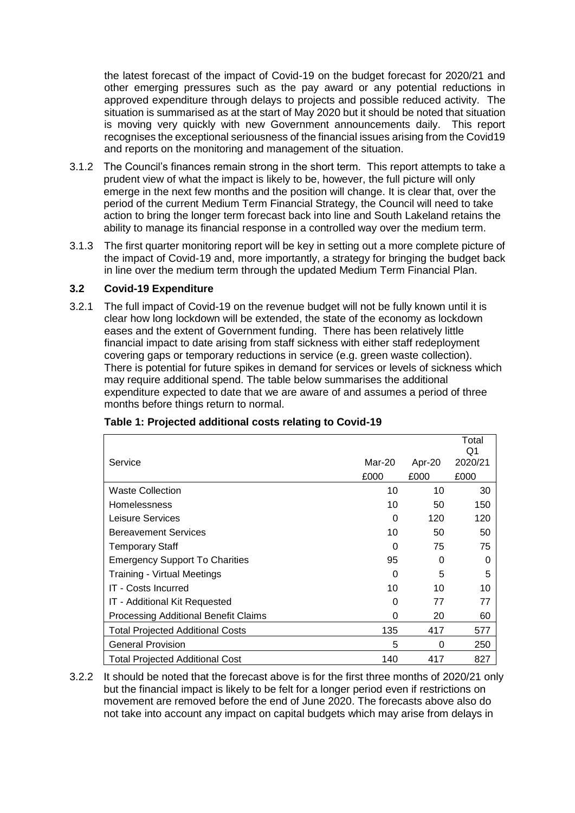the latest forecast of the impact of Covid-19 on the budget forecast for 2020/21 and other emerging pressures such as the pay award or any potential reductions in approved expenditure through delays to projects and possible reduced activity. The situation is summarised as at the start of May 2020 but it should be noted that situation is moving very quickly with new Government announcements daily. This report recognises the exceptional seriousness of the financial issues arising from the Covid19 and reports on the monitoring and management of the situation.

- 3.1.2 The Council's finances remain strong in the short term. This report attempts to take a prudent view of what the impact is likely to be, however, the full picture will only emerge in the next few months and the position will change. It is clear that, over the period of the current Medium Term Financial Strategy, the Council will need to take action to bring the longer term forecast back into line and South Lakeland retains the ability to manage its financial response in a controlled way over the medium term.
- 3.1.3 The first quarter monitoring report will be key in setting out a more complete picture of the impact of Covid-19 and, more importantly, a strategy for bringing the budget back in line over the medium term through the updated Medium Term Financial Plan.

#### **3.2 Covid-19 Expenditure**

3.2.1 The full impact of Covid-19 on the revenue budget will not be fully known until it is clear how long lockdown will be extended, the state of the economy as lockdown eases and the extent of Government funding. There has been relatively little financial impact to date arising from staff sickness with either staff redeployment covering gaps or temporary reductions in service (e.g. green waste collection). There is potential for future spikes in demand for services or levels of sickness which may require additional spend. The table below summarises the additional expenditure expected to date that we are aware of and assumes a period of three months before things return to normal.

|                                             |        |        | Total<br>Q1 |
|---------------------------------------------|--------|--------|-------------|
| Service                                     | Mar-20 | Apr-20 | 2020/21     |
|                                             | £000   | £000   | £000        |
| <b>Waste Collection</b>                     | 10     | 10     | 30          |
| <b>Homelessness</b>                         | 10     | 50     | 150         |
| Leisure Services                            | 0      | 120    | 120         |
| <b>Bereavement Services</b>                 | 10     | 50     | 50          |
| Temporary Staff                             | 0      | 75     | 75          |
| <b>Emergency Support To Charities</b>       | 95     | 0      | 0           |
| <b>Training - Virtual Meetings</b>          | 0      | 5      | 5           |
| <b>IT - Costs Incurred</b>                  | 10     | 10     | 10          |
| IT - Additional Kit Requested               | 0      | 77     | 77          |
| <b>Processing Additional Benefit Claims</b> | 0      | 20     | 60          |
| <b>Total Projected Additional Costs</b>     | 135    | 417    | 577         |
| <b>General Provision</b>                    | 5      | 0      | 250         |
| <b>Total Projected Additional Cost</b>      | 140    | 417    | 827         |

## **Table 1: Projected additional costs relating to Covid-19**

3.2.2 It should be noted that the forecast above is for the first three months of 2020/21 only but the financial impact is likely to be felt for a longer period even if restrictions on movement are removed before the end of June 2020. The forecasts above also do not take into account any impact on capital budgets which may arise from delays in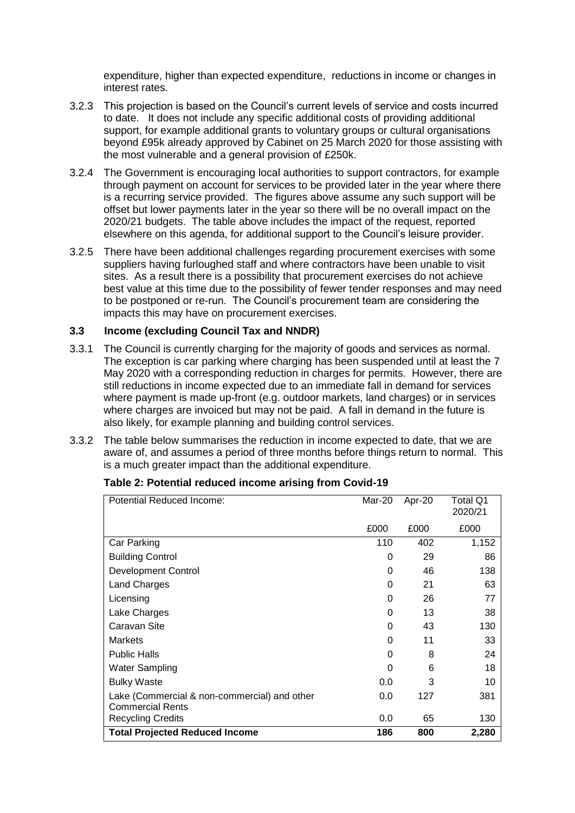expenditure, higher than expected expenditure, reductions in income or changes in interest rates.

- 3.2.3 This projection is based on the Council's current levels of service and costs incurred to date. It does not include any specific additional costs of providing additional support, for example additional grants to voluntary groups or cultural organisations beyond £95k already approved by Cabinet on 25 March 2020 for those assisting with the most vulnerable and a general provision of £250k.
- 3.2.4 The Government is encouraging local authorities to support contractors, for example through payment on account for services to be provided later in the year where there is a recurring service provided. The figures above assume any such support will be offset but lower payments later in the year so there will be no overall impact on the 2020/21 budgets. The table above includes the impact of the request, reported elsewhere on this agenda, for additional support to the Council's leisure provider.
- 3.2.5 There have been additional challenges regarding procurement exercises with some suppliers having furloughed staff and where contractors have been unable to visit sites. As a result there is a possibility that procurement exercises do not achieve best value at this time due to the possibility of fewer tender responses and may need to be postponed or re-run. The Council's procurement team are considering the impacts this may have on procurement exercises.

#### **3.3 Income (excluding Council Tax and NNDR)**

- 3.3.1 The Council is currently charging for the majority of goods and services as normal. The exception is car parking where charging has been suspended until at least the 7 May 2020 with a corresponding reduction in charges for permits. However, there are still reductions in income expected due to an immediate fall in demand for services where payment is made up-front (e.g. outdoor markets, land charges) or in services where charges are invoiced but may not be paid. A fall in demand in the future is also likely, for example planning and building control services.
- 3.3.2 The table below summarises the reduction in income expected to date, that we are aware of, and assumes a period of three months before things return to normal. This is a much greater impact than the additional expenditure.

| <b>Potential Reduced Income:</b>                                        | Mar-20   | Apr-20 | Total Q1<br>2020/21 |
|-------------------------------------------------------------------------|----------|--------|---------------------|
|                                                                         | £000     | £000   | £000                |
| Car Parking                                                             | 110      | 402    | 1,152               |
| <b>Building Control</b>                                                 | 0        | 29     | 86                  |
| <b>Development Control</b>                                              | 0        | 46     | 138                 |
| <b>Land Charges</b>                                                     | 0        | 21     | 63                  |
| Licensing                                                               | $\Omega$ | 26     | 77                  |
| Lake Charges                                                            | 0        | 13     | 38                  |
| Caravan Site                                                            | 0        | 43     | 130                 |
| <b>Markets</b>                                                          | 0        | 11     | 33                  |
| <b>Public Halls</b>                                                     | 0        | 8      | 24                  |
| Water Sampling                                                          | $\Omega$ | 6      | 18                  |
| <b>Bulky Waste</b>                                                      | 0.0      | 3      | 10                  |
| Lake (Commercial & non-commercial) and other<br><b>Commercial Rents</b> | 0.0      | 127    | 381                 |
| <b>Recycling Credits</b>                                                | 0.0      | 65     | 130                 |
| <b>Total Projected Reduced Income</b>                                   | 186      | 800    | 2,280               |

#### **Table 2: Potential reduced income arising from Covid-19**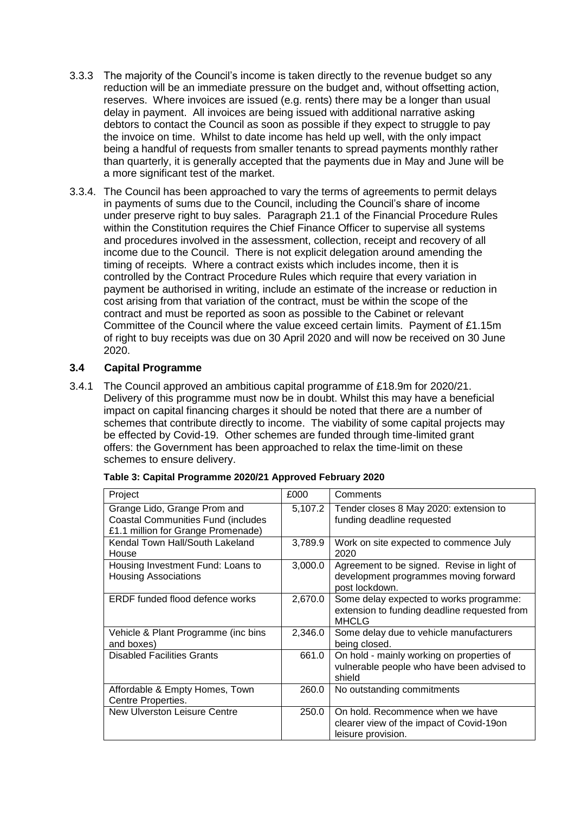- 3.3.3 The majority of the Council's income is taken directly to the revenue budget so any reduction will be an immediate pressure on the budget and, without offsetting action, reserves. Where invoices are issued (e.g. rents) there may be a longer than usual delay in payment. All invoices are being issued with additional narrative asking debtors to contact the Council as soon as possible if they expect to struggle to pay the invoice on time. Whilst to date income has held up well, with the only impact being a handful of requests from smaller tenants to spread payments monthly rather than quarterly, it is generally accepted that the payments due in May and June will be a more significant test of the market.
- 3.3.4. The Council has been approached to vary the terms of agreements to permit delays in payments of sums due to the Council, including the Council's share of income under preserve right to buy sales. Paragraph 21.1 of the Financial Procedure Rules within the Constitution requires the Chief Finance Officer to supervise all systems and procedures involved in the assessment, collection, receipt and recovery of all income due to the Council. There is not explicit delegation around amending the timing of receipts. Where a contract exists which includes income, then it is controlled by the Contract Procedure Rules which require that every variation in payment be authorised in writing, include an estimate of the increase or reduction in cost arising from that variation of the contract, must be within the scope of the contract and must be reported as soon as possible to the Cabinet or relevant Committee of the Council where the value exceed certain limits. Payment of £1.15m of right to buy receipts was due on 30 April 2020 and will now be received on 30 June 2020.

#### **3.4 Capital Programme**

3.4.1 The Council approved an ambitious capital programme of £18.9m for 2020/21. Delivery of this programme must now be in doubt. Whilst this may have a beneficial impact on capital financing charges it should be noted that there are a number of schemes that contribute directly to income. The viability of some capital projects may be effected by Covid-19. Other schemes are funded through time-limited grant offers: the Government has been approached to relax the time-limit on these schemes to ensure delivery.

| Project                                                                                                         | £000    | Comments                                                                                                |
|-----------------------------------------------------------------------------------------------------------------|---------|---------------------------------------------------------------------------------------------------------|
| Grange Lido, Grange Prom and<br><b>Coastal Communities Fund (includes</b><br>£1.1 million for Grange Promenade) | 5,107.2 | Tender closes 8 May 2020: extension to<br>funding deadline requested                                    |
| Kendal Town Hall/South Lakeland<br>House                                                                        | 3,789.9 | Work on site expected to commence July<br>2020                                                          |
| Housing Investment Fund: Loans to<br><b>Housing Associations</b>                                                | 3,000.0 | Agreement to be signed. Revise in light of<br>development programmes moving forward<br>post lockdown.   |
| <b>ERDF</b> funded flood defence works                                                                          | 2,670.0 | Some delay expected to works programme:<br>extension to funding deadline requested from<br><b>MHCLG</b> |
| Vehicle & Plant Programme (inc bins<br>and boxes)                                                               | 2,346.0 | Some delay due to vehicle manufacturers<br>being closed.                                                |
| <b>Disabled Facilities Grants</b>                                                                               | 661.0   | On hold - mainly working on properties of<br>vulnerable people who have been advised to<br>shield       |
| Affordable & Empty Homes, Town<br>Centre Properties.                                                            | 260.0   | No outstanding commitments                                                                              |
| New Ulverston Leisure Centre                                                                                    | 250.0   | On hold. Recommence when we have<br>clearer view of the impact of Covid-19on<br>leisure provision.      |

**Table 3: Capital Programme 2020/21 Approved February 2020**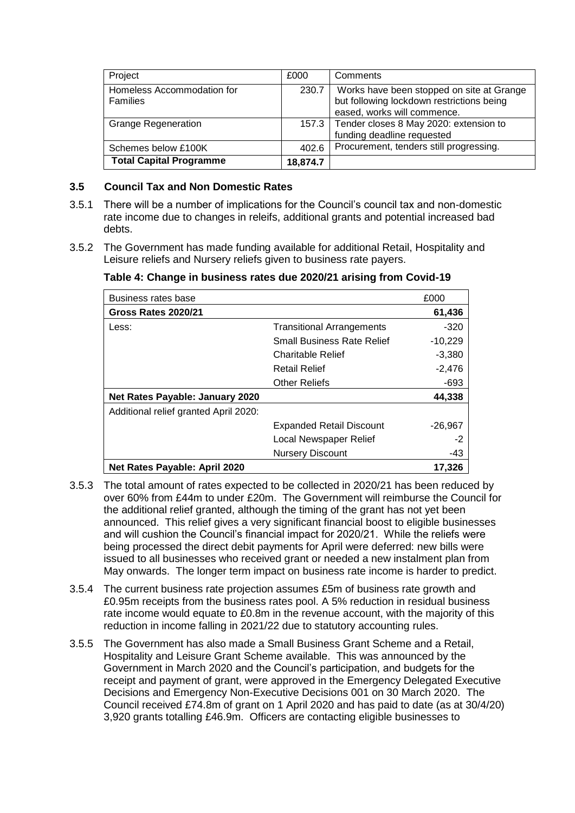| Project                                | £000     | Comments                                                                                                              |
|----------------------------------------|----------|-----------------------------------------------------------------------------------------------------------------------|
| Homeless Accommodation for<br>Families | 230.7    | Works have been stopped on site at Grange<br>but following lockdown restrictions being<br>eased, works will commence. |
| <b>Grange Regeneration</b>             |          | 157.3   Tender closes 8 May 2020: extension to<br>funding deadline requested                                          |
| Schemes below £100K                    | 402.6    | Procurement, tenders still progressing.                                                                               |
| <b>Total Capital Programme</b>         | 18,874.7 |                                                                                                                       |

#### **3.5 Council Tax and Non Domestic Rates**

- 3.5.1 There will be a number of implications for the Council's council tax and non-domestic rate income due to changes in releifs, additional grants and potential increased bad debts.
- 3.5.2 The Government has made funding available for additional Retail, Hospitality and Leisure reliefs and Nursery reliefs given to business rate payers.

| Business rates base                   |                                   | £000      |
|---------------------------------------|-----------------------------------|-----------|
| Gross Rates 2020/21                   |                                   | 61,436    |
| Less:                                 | <b>Transitional Arrangements</b>  | $-320$    |
|                                       | <b>Small Business Rate Relief</b> | $-10,229$ |
|                                       | <b>Charitable Relief</b>          | $-3,380$  |
|                                       | <b>Retail Relief</b>              | $-2,476$  |
|                                       | <b>Other Reliefs</b>              | -693      |
| Net Rates Payable: January 2020       |                                   | 44,338    |
| Additional relief granted April 2020: |                                   |           |
|                                       | <b>Expanded Retail Discount</b>   | $-26,967$ |
|                                       | Local Newspaper Relief            | $-2$      |
|                                       | <b>Nursery Discount</b>           | -43       |
| Net Rates Payable: April 2020         |                                   | 17.326    |

**Table 4: Change in business rates due 2020/21 arising from Covid-19**

- 3.5.3 The total amount of rates expected to be collected in 2020/21 has been reduced by over 60% from £44m to under £20m. The Government will reimburse the Council for the additional relief granted, although the timing of the grant has not yet been announced. This relief gives a very significant financial boost to eligible businesses and will cushion the Council's financial impact for 2020/21. While the reliefs were being processed the direct debit payments for April were deferred: new bills were issued to all businesses who received grant or needed a new instalment plan from May onwards. The longer term impact on business rate income is harder to predict.
- 3.5.4 The current business rate projection assumes £5m of business rate growth and £0.95m receipts from the business rates pool. A 5% reduction in residual business rate income would equate to £0.8m in the revenue account, with the majority of this reduction in income falling in 2021/22 due to statutory accounting rules.
- 3.5.5 The Government has also made a Small Business Grant Scheme and a Retail, Hospitality and Leisure Grant Scheme available. This was announced by the Government in March 2020 and the Council's participation, and budgets for the receipt and payment of grant, were approved in the Emergency Delegated Executive Decisions and Emergency Non-Executive Decisions 001 on 30 March 2020. The Council received £74.8m of grant on 1 April 2020 and has paid to date (as at 30/4/20) 3,920 grants totalling £46.9m. Officers are contacting eligible businesses to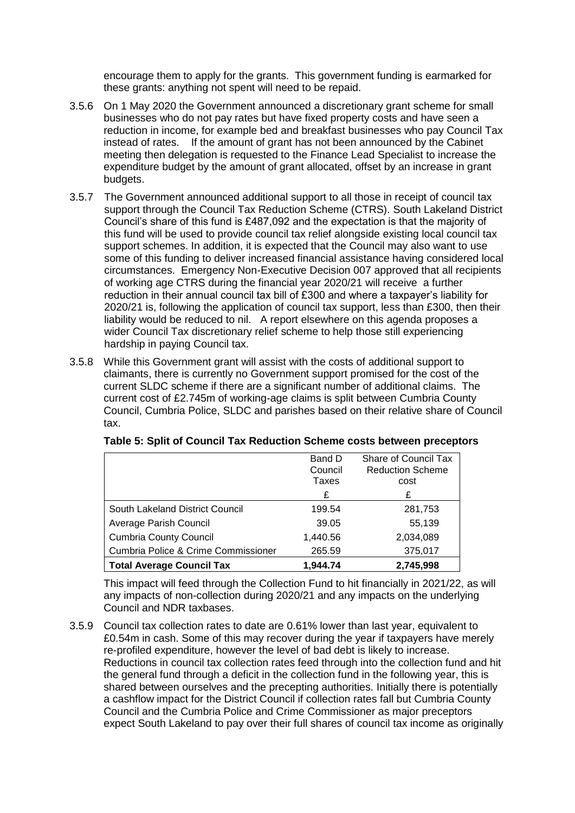encourage them to apply for the grants. This government funding is earmarked for these grants: anything not spent will need to be repaid.

- 3.5.6 On 1 May 2020 the Government announced a discretionary grant scheme for small businesses who do not pay rates but have fixed property costs and have seen a reduction in income, for example bed and breakfast businesses who pay Council Tax instead of rates. If the amount of grant has not been announced by the Cabinet meeting then delegation is requested to the Finance Lead Specialist to increase the expenditure budget by the amount of grant allocated, offset by an increase in grant budgets.
- 3.5.7 The Government announced additional support to all those in receipt of council tax support through the Council Tax Reduction Scheme (CTRS). South Lakeland District Council's share of this fund is £487,092 and the expectation is that the majority of this fund will be used to provide council tax relief alongside existing local council tax support schemes. In addition, it is expected that the Council may also want to use some of this funding to deliver increased financial assistance having considered local circumstances. Emergency Non-Executive Decision 007 approved that all recipients of working age CTRS during the financial year 2020/21 will receive a further reduction in their annual council tax bill of £300 and where a taxpayer's liability for 2020/21 is, following the application of council tax support, less than £300, then their liability would be reduced to nil. A report elsewhere on this agenda proposes a wider Council Tax discretionary relief scheme to help those still experiencing hardship in paying Council tax.
- 3.5.8 While this Government grant will assist with the costs of additional support to claimants, there is currently no Government support promised for the cost of the current SLDC scheme if there are a significant number of additional claims. The current cost of £2.745m of working-age claims is split between Cumbria County Council, Cumbria Police, SLDC and parishes based on their relative share of Council tax.

|                                     | Share of Council Tax<br>Band D<br><b>Reduction Scheme</b><br>Council |           |  |  |
|-------------------------------------|----------------------------------------------------------------------|-----------|--|--|
|                                     | Taxes                                                                | cost      |  |  |
|                                     | £                                                                    | £         |  |  |
| South Lakeland District Council     | 199.54                                                               | 281,753   |  |  |
| Average Parish Council              | 39.05                                                                | 55,139    |  |  |
| <b>Cumbria County Council</b>       | 1,440.56                                                             | 2,034,089 |  |  |
| Cumbria Police & Crime Commissioner | 265.59                                                               | 375,017   |  |  |
| <b>Total Average Council Tax</b>    | 1,944.74                                                             | 2,745,998 |  |  |

**Table 5: Split of Council Tax Reduction Scheme costs between preceptors**

This impact will feed through the Collection Fund to hit financially in 2021/22, as will any impacts of non-collection during 2020/21 and any impacts on the underlying Council and NDR taxbases.

3.5.9 Council tax collection rates to date are 0.61% lower than last year, equivalent to £0.54m in cash. Some of this may recover during the year if taxpayers have merely re-profiled expenditure, however the level of bad debt is likely to increase. Reductions in council tax collection rates feed through into the collection fund and hit the general fund through a deficit in the collection fund in the following year, this is shared between ourselves and the precepting authorities. Initially there is potentially a cashflow impact for the District Council if collection rates fall but Cumbria County Council and the Cumbria Police and Crime Commissioner as major preceptors expect South Lakeland to pay over their full shares of council tax income as originally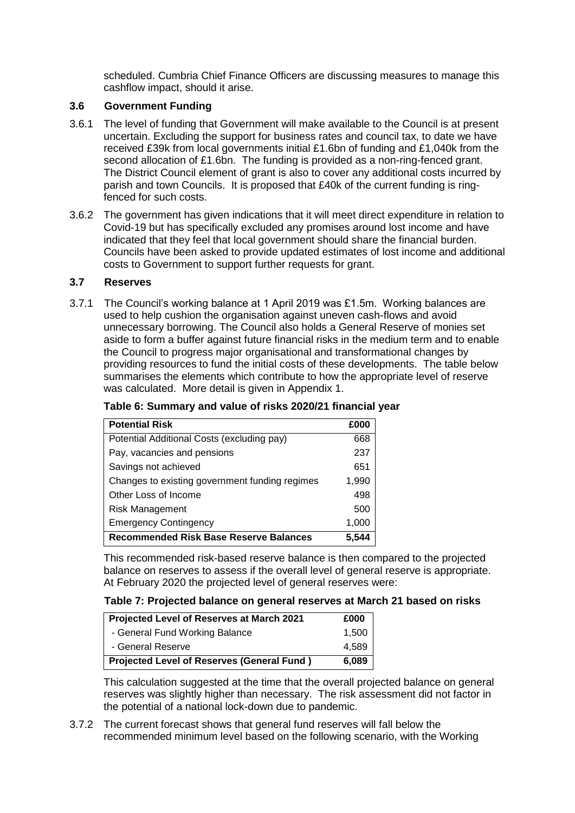scheduled. Cumbria Chief Finance Officers are discussing measures to manage this cashflow impact, should it arise.

#### **3.6 Government Funding**

- 3.6.1 The level of funding that Government will make available to the Council is at present uncertain. Excluding the support for business rates and council tax, to date we have received £39k from local governments initial £1.6bn of funding and £1,040k from the second allocation of £1.6bn. The funding is provided as a non-ring-fenced grant. The District Council element of grant is also to cover any additional costs incurred by parish and town Councils. It is proposed that £40k of the current funding is ringfenced for such costs.
- 3.6.2 The government has given indications that it will meet direct expenditure in relation to Covid-19 but has specifically excluded any promises around lost income and have indicated that they feel that local government should share the financial burden. Councils have been asked to provide updated estimates of lost income and additional costs to Government to support further requests for grant.

#### **3.7 Reserves**

3.7.1 The Council's working balance at 1 April 2019 was £1.5m. Working balances are used to help cushion the organisation against uneven cash-flows and avoid unnecessary borrowing. The Council also holds a General Reserve of monies set aside to form a buffer against future financial risks in the medium term and to enable the Council to progress major organisational and transformational changes by providing resources to fund the initial costs of these developments. The table below summarises the elements which contribute to how the appropriate level of reserve was calculated. More detail is given in Appendix 1.

| <b>Potential Risk</b>                          | £000  |
|------------------------------------------------|-------|
| Potential Additional Costs (excluding pay)     | 668   |
| Pay, vacancies and pensions                    | 237   |
| Savings not achieved                           | 651   |
| Changes to existing government funding regimes | 1,990 |
| Other Loss of Income                           | 498   |
| <b>Risk Management</b>                         | 500   |
| <b>Emergency Contingency</b>                   | 1,000 |
| <b>Recommended Risk Base Reserve Balances</b>  | 5.544 |

**Table 6: Summary and value of risks 2020/21 financial year**

This recommended risk-based reserve balance is then compared to the projected balance on reserves to assess if the overall level of general reserve is appropriate. At February 2020 the projected level of general reserves were:

#### **Table 7: Projected balance on general reserves at March 21 based on risks**

| Projected Level of Reserves at March 2021         | £000  |
|---------------------------------------------------|-------|
| - General Fund Working Balance                    | 1,500 |
| - General Reserve                                 | 4,589 |
| <b>Projected Level of Reserves (General Fund)</b> | 6,089 |

This calculation suggested at the time that the overall projected balance on general reserves was slightly higher than necessary. The risk assessment did not factor in the potential of a national lock-down due to pandemic.

3.7.2 The current forecast shows that general fund reserves will fall below the recommended minimum level based on the following scenario, with the Working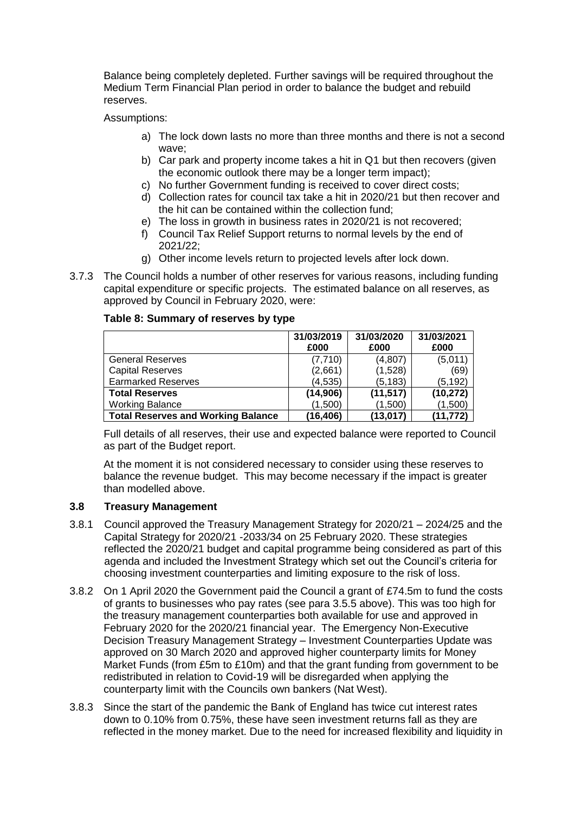Balance being completely depleted. Further savings will be required throughout the Medium Term Financial Plan period in order to balance the budget and rebuild reserves.

#### Assumptions:

- a) The lock down lasts no more than three months and there is not a second wave;
- b) Car park and property income takes a hit in Q1 but then recovers (given the economic outlook there may be a longer term impact);
- c) No further Government funding is received to cover direct costs;
- d) Collection rates for council tax take a hit in 2020/21 but then recover and the hit can be contained within the collection fund;
- e) The loss in growth in business rates in 2020/21 is not recovered;
- f) Council Tax Relief Support returns to normal levels by the end of 2021/22;
- g) Other income levels return to projected levels after lock down.
- 3.7.3 The Council holds a number of other reserves for various reasons, including funding capital expenditure or specific projects. The estimated balance on all reserves, as approved by Council in February 2020, were:

#### **Table 8: Summary of reserves by type**

|                                           | 31/03/2019 | 31/03/2020 | 31/03/2021 |
|-------------------------------------------|------------|------------|------------|
|                                           | £000       | £000       | £000       |
| <b>General Reserves</b>                   | (7,710)    | (4,807)    | (5,011)    |
| <b>Capital Reserves</b>                   | (2,661)    | (1,528)    | (69)       |
| <b>Earmarked Reserves</b>                 | (4, 535)   | (5, 183)   | (5,192)    |
| <b>Total Reserves</b>                     | (14,906)   | (11, 517)  | (10, 272)  |
| <b>Working Balance</b>                    | (1,500)    | (1,500)    | (1,500)    |
| <b>Total Reserves and Working Balance</b> | (16, 406)  | (13,017)   | (11, 772)  |

Full details of all reserves, their use and expected balance were reported to Council as part of the Budget report.

At the moment it is not considered necessary to consider using these reserves to balance the revenue budget. This may become necessary if the impact is greater than modelled above.

#### **3.8 Treasury Management**

- 3.8.1 Council approved the Treasury Management Strategy for 2020/21 2024/25 and the Capital Strategy for 2020/21 -2033/34 on 25 February 2020. These strategies reflected the 2020/21 budget and capital programme being considered as part of this agenda and included the Investment Strategy which set out the Council's criteria for choosing investment counterparties and limiting exposure to the risk of loss.
- 3.8.2 On 1 April 2020 the Government paid the Council a grant of £74.5m to fund the costs of grants to businesses who pay rates (see para 3.5.5 above). This was too high for the treasury management counterparties both available for use and approved in February 2020 for the 2020/21 financial year. The Emergency Non-Executive Decision Treasury Management Strategy – Investment Counterparties Update was approved on 30 March 2020 and approved higher counterparty limits for Money Market Funds (from £5m to £10m) and that the grant funding from government to be redistributed in relation to Covid-19 will be disregarded when applying the counterparty limit with the Councils own bankers (Nat West).
- 3.8.3 Since the start of the pandemic the Bank of England has twice cut interest rates down to 0.10% from 0.75%, these have seen investment returns fall as they are reflected in the money market. Due to the need for increased flexibility and liquidity in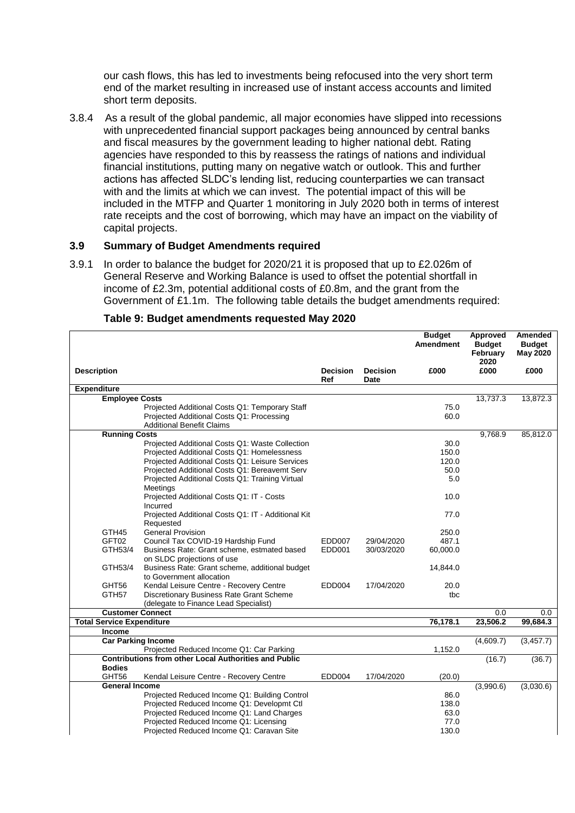our cash flows, this has led to investments being refocused into the very short term end of the market resulting in increased use of instant access accounts and limited short term deposits.

3.8.4 As a result of the global pandemic, all major economies have slipped into recessions with unprecedented financial support packages being announced by central banks and fiscal measures by the government leading to higher national debt. Rating agencies have responded to this by reassess the ratings of nations and individual financial institutions, putting many on negative watch or outlook. This and further actions has affected SLDC's lending list, reducing counterparties we can transact with and the limits at which we can invest. The potential impact of this will be included in the MTFP and Quarter 1 monitoring in July 2020 both in terms of interest rate receipts and the cost of borrowing, which may have an impact on the viability of capital projects.

#### **3.9 Summary of Budget Amendments required**

3.9.1 In order to balance the budget for 2020/21 it is proposed that up to £2.026m of General Reserve and Working Balance is used to offset the potential shortfall in income of £2.3m, potential additional costs of £0.8m, and the grant from the Government of £1.1m. The following table details the budget amendments required:

|                                  |                                                                                                          |                        |                         | <b>Budget</b><br><b>Amendment</b> | Approved<br><b>Budget</b><br>February<br>2020 | <b>Amended</b><br><b>Budget</b><br><b>May 2020</b> |
|----------------------------------|----------------------------------------------------------------------------------------------------------|------------------------|-------------------------|-----------------------------------|-----------------------------------------------|----------------------------------------------------|
| <b>Description</b>               |                                                                                                          | <b>Decision</b><br>Ref | <b>Decision</b><br>Date | £000                              | £000                                          | £000                                               |
| <b>Expenditure</b>               |                                                                                                          |                        |                         |                                   |                                               |                                                    |
|                                  | <b>Employee Costs</b>                                                                                    |                        |                         |                                   | 13,737.3                                      | 13,872.3                                           |
|                                  | Projected Additional Costs Q1: Temporary Staff                                                           |                        |                         | 75.0                              |                                               |                                                    |
|                                  | Projected Additional Costs Q1: Processing                                                                |                        |                         | 60.0                              |                                               |                                                    |
|                                  | <b>Additional Benefit Claims</b>                                                                         |                        |                         |                                   |                                               |                                                    |
|                                  | <b>Running Costs</b>                                                                                     |                        |                         |                                   | 9,768.9                                       | 85,812.0                                           |
|                                  | Projected Additional Costs Q1: Waste Collection                                                          |                        |                         | 30.0                              |                                               |                                                    |
|                                  | Projected Additional Costs Q1: Homelessness                                                              |                        |                         | 150.0                             |                                               |                                                    |
|                                  | Projected Additional Costs Q1: Leisure Services                                                          |                        |                         | 120.0                             |                                               |                                                    |
|                                  | Projected Additional Costs Q1: Bereavemt Serv                                                            |                        |                         | 50.0                              |                                               |                                                    |
|                                  | Projected Additional Costs Q1: Training Virtual                                                          |                        |                         | 5.0                               |                                               |                                                    |
|                                  | Meetings                                                                                                 |                        |                         |                                   |                                               |                                                    |
|                                  | Projected Additional Costs Q1: IT - Costs                                                                |                        |                         | 10.0                              |                                               |                                                    |
|                                  | Incurred                                                                                                 |                        |                         |                                   |                                               |                                                    |
|                                  | Projected Additional Costs Q1: IT - Additional Kit                                                       |                        |                         | 77.0                              |                                               |                                                    |
|                                  | Requested                                                                                                |                        |                         |                                   |                                               |                                                    |
| GTH45                            | <b>General Provision</b>                                                                                 |                        |                         | 250.0                             |                                               |                                                    |
| GFT02                            | Council Tax COVID-19 Hardship Fund                                                                       | <b>EDD007</b>          | 29/04/2020              | 487.1                             |                                               |                                                    |
| GTH53/4                          | Business Rate: Grant scheme, estmated based                                                              | EDD <sub>001</sub>     | 30/03/2020              | 60,000.0                          |                                               |                                                    |
|                                  | on SLDC projections of use                                                                               |                        |                         |                                   |                                               |                                                    |
| GTH53/4                          | Business Rate: Grant scheme, additional budget                                                           |                        |                         | 14,844.0                          |                                               |                                                    |
|                                  | to Government allocation                                                                                 |                        |                         |                                   |                                               |                                                    |
| GHT56                            | Kendal Leisure Centre - Recovery Centre                                                                  | EDD004                 | 17/04/2020              | 20.0                              |                                               |                                                    |
| GTH <sub>57</sub>                | Discretionary Business Rate Grant Scheme                                                                 |                        |                         | tbc                               |                                               |                                                    |
|                                  | (delegate to Finance Lead Specialist)                                                                    |                        |                         |                                   |                                               |                                                    |
|                                  | <b>Customer Connect</b>                                                                                  |                        |                         |                                   | 0.0                                           | 0.0                                                |
| <b>Total Service Expenditure</b> |                                                                                                          |                        |                         | 76,178.1                          | 23,506.2                                      | 99,684.3                                           |
| <b>Income</b>                    |                                                                                                          |                        |                         |                                   |                                               |                                                    |
|                                  | <b>Car Parking Income</b>                                                                                |                        |                         |                                   | (4,609.7)                                     | (3, 457.7)                                         |
|                                  | Projected Reduced Income Q1: Car Parking<br><b>Contributions from other Local Authorities and Public</b> |                        |                         | 1,152.0                           |                                               |                                                    |
| <b>Bodies</b>                    |                                                                                                          |                        |                         |                                   | (16.7)                                        | (36.7)                                             |
| GHT56                            | Kendal Leisure Centre - Recovery Centre                                                                  | EDD004                 | 17/04/2020              | (20.0)                            |                                               |                                                    |
|                                  | <b>General Income</b>                                                                                    |                        |                         |                                   | (3,990.6)                                     | (3,030.6)                                          |
|                                  | Projected Reduced Income Q1: Building Control                                                            |                        |                         | 86.0                              |                                               |                                                    |
|                                  | Projected Reduced Income Q1: Developmt Ctl                                                               |                        |                         | 138.0                             |                                               |                                                    |
|                                  | Projected Reduced Income Q1: Land Charges                                                                |                        |                         | 63.0                              |                                               |                                                    |
|                                  | Projected Reduced Income Q1: Licensing                                                                   |                        |                         | 77.0                              |                                               |                                                    |
|                                  | Projected Reduced Income Q1: Caravan Site                                                                |                        |                         | 130.0                             |                                               |                                                    |
|                                  |                                                                                                          |                        |                         |                                   |                                               |                                                    |

#### **Table 9: Budget amendments requested May 2020**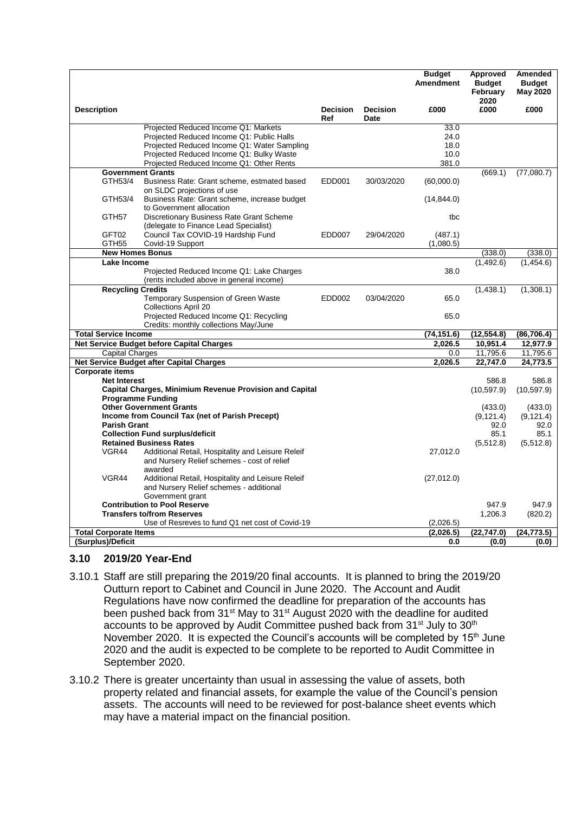|                              |                                                                                                         |                        |                         | <b>Budget</b><br><b>Amendment</b> | Approved<br><b>Budget</b><br>February<br>2020 | <b>Amended</b><br><b>Budget</b><br>May 2020 |
|------------------------------|---------------------------------------------------------------------------------------------------------|------------------------|-------------------------|-----------------------------------|-----------------------------------------------|---------------------------------------------|
| <b>Description</b>           |                                                                                                         | <b>Decision</b><br>Ref | <b>Decision</b><br>Date | £000                              | £000                                          | £000                                        |
|                              | Projected Reduced Income Q1: Markets                                                                    |                        |                         | 33.0                              |                                               |                                             |
|                              | Projected Reduced Income Q1: Public Halls                                                               |                        |                         | 24.0                              |                                               |                                             |
|                              | Projected Reduced Income Q1: Water Sampling<br>Projected Reduced Income Q1: Bulky Waste                 |                        |                         | 18.0                              |                                               |                                             |
|                              | Projected Reduced Income Q1: Other Rents                                                                |                        |                         | 10.0<br>381.0                     |                                               |                                             |
|                              | <b>Government Grants</b>                                                                                |                        |                         |                                   | (669.1)                                       | (77,080.7)                                  |
| GTH53/4                      | Business Rate: Grant scheme, estmated based<br>on SLDC projections of use                               | EDD001                 | 30/03/2020              | (60,000.0)                        |                                               |                                             |
| GTH53/4                      | Business Rate: Grant scheme, increase budget<br>to Government allocation                                |                        |                         | (14, 844.0)                       |                                               |                                             |
| GTH57                        | Discretionary Business Rate Grant Scheme                                                                |                        |                         | tbc                               |                                               |                                             |
|                              | (delegate to Finance Lead Specialist)                                                                   |                        |                         |                                   |                                               |                                             |
| GFT02                        | Council Tax COVID-19 Hardship Fund                                                                      | EDD007                 | 29/04/2020              | (487.1)                           |                                               |                                             |
| GTH <sub>55</sub>            | Covid-19 Support<br><b>New Homes Bonus</b>                                                              |                        |                         | (1,080.5)                         | (338.0)                                       | (338.0)                                     |
| <b>Lake Income</b>           |                                                                                                         |                        |                         |                                   | (1,492.6)                                     | (1,454.6)                                   |
|                              | Projected Reduced Income Q1: Lake Charges                                                               |                        |                         | 38.0                              |                                               |                                             |
|                              | (rents included above in general income)                                                                |                        |                         |                                   |                                               |                                             |
| <b>Recycling Credits</b>     |                                                                                                         |                        |                         |                                   | (1,438.1)                                     | (1,308.1)                                   |
|                              | Temporary Suspension of Green Waste<br>Collections April 20                                             | <b>EDD002</b>          | 03/04/2020              | 65.0                              |                                               |                                             |
|                              | Projected Reduced Income Q1: Recycling                                                                  |                        |                         | 65.0                              |                                               |                                             |
|                              | Credits: monthly collections May/June                                                                   |                        |                         |                                   |                                               |                                             |
| <b>Total Service Income</b>  |                                                                                                         |                        |                         | (74, 151.6)                       | (12, 554.8)                                   | (86, 706.4)                                 |
|                              | Net Service Budget before Capital Charges                                                               |                        |                         | 2,026.5                           | 10,951.4                                      | 12,977.9                                    |
| <b>Capital Charges</b>       |                                                                                                         |                        |                         | 0.0                               | 11,795.6                                      | 11,795.6                                    |
| <b>Corporate items</b>       | <b>Net Service Budget after Capital Charges</b>                                                         |                        |                         | 2,026.5                           | 22.747.0                                      | 24.773.5                                    |
| <b>Net Interest</b>          |                                                                                                         |                        |                         |                                   | 586.8                                         | 586.8                                       |
|                              | <b>Capital Charges, Minimium Revenue Provision and Capital</b>                                          |                        |                         |                                   | (10, 597.9)                                   | (10, 597.9)                                 |
|                              | <b>Programme Funding</b>                                                                                |                        |                         |                                   |                                               |                                             |
|                              | <b>Other Government Grants</b>                                                                          |                        |                         |                                   | (433.0)                                       | (433.0)                                     |
|                              | Income from Council Tax (net of Parish Precept)                                                         |                        |                         |                                   | (9, 121.4)                                    | (9, 121.4)                                  |
| <b>Parish Grant</b>          |                                                                                                         |                        |                         |                                   | 92.0                                          | 92.0                                        |
|                              | <b>Collection Fund surplus/deficit</b>                                                                  |                        |                         |                                   | 85.1                                          | 85.1                                        |
|                              | <b>Retained Business Rates</b>                                                                          |                        |                         |                                   | (5, 512.8)                                    | (5, 512.8)                                  |
| VGR44                        | Additional Retail, Hospitality and Leisure Releif<br>and Nursery Relief schemes - cost of relief        |                        |                         | 27,012.0                          |                                               |                                             |
| VGR44                        | awarded<br>Additional Retail, Hospitality and Leisure Releif<br>and Nursery Relief schemes - additional |                        |                         | (27,012.0)                        |                                               |                                             |
|                              | Government grant                                                                                        |                        |                         |                                   |                                               |                                             |
|                              | <b>Contribution to Pool Reserve</b>                                                                     |                        |                         |                                   | 947.9                                         | 947.9                                       |
|                              | <b>Transfers to/from Reserves</b>                                                                       |                        |                         |                                   | 1,206.3                                       | (820.2)                                     |
|                              | Use of Resreves to fund Q1 net cost of Covid-19                                                         |                        |                         | (2,026.5)                         |                                               |                                             |
| <b>Total Corporate Items</b> |                                                                                                         |                        |                         | (2,026.5)                         | (22, 747.0)                                   | (24, 773.5)                                 |
| (Surplus)/Deficit            |                                                                                                         |                        |                         | 0.0                               | (0.0)                                         | (0.0)                                       |

## **3.10 2019/20 Year-End**

- 3.10.1 Staff are still preparing the 2019/20 final accounts. It is planned to bring the 2019/20 Outturn report to Cabinet and Council in June 2020. The Account and Audit Regulations have now confirmed the deadline for preparation of the accounts has been pushed back from 31<sup>st</sup> May to 31<sup>st</sup> August 2020 with the deadline for audited accounts to be approved by Audit Committee pushed back from 31<sup>st</sup> July to 30<sup>th</sup> November 2020. It is expected the Council's accounts will be completed by 15<sup>th</sup> June 2020 and the audit is expected to be complete to be reported to Audit Committee in September 2020.
- 3.10.2 There is greater uncertainty than usual in assessing the value of assets, both property related and financial assets, for example the value of the Council's pension assets. The accounts will need to be reviewed for post-balance sheet events which may have a material impact on the financial position.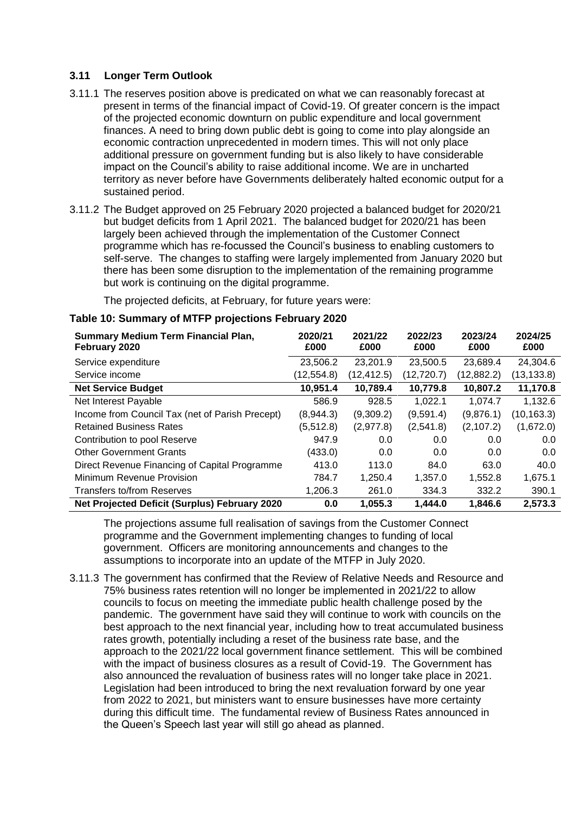#### **3.11 Longer Term Outlook**

- 3.11.1 The reserves position above is predicated on what we can reasonably forecast at present in terms of the financial impact of Covid-19. Of greater concern is the impact of the projected economic downturn on public expenditure and local government finances. A need to bring down public debt is going to come into play alongside an economic contraction unprecedented in modern times. This will not only place additional pressure on government funding but is also likely to have considerable impact on the Council's ability to raise additional income. We are in uncharted territory as never before have Governments deliberately halted economic output for a sustained period.
- 3.11.2 The Budget approved on 25 February 2020 projected a balanced budget for 2020/21 but budget deficits from 1 April 2021. The balanced budget for 2020/21 has been largely been achieved through the implementation of the Customer Connect programme which has re-focussed the Council's business to enabling customers to self-serve. The changes to staffing were largely implemented from January 2020 but there has been some disruption to the implementation of the remaining programme but work is continuing on the digital programme.

The projected deficits, at February, for future years were:

| <b>Summary Medium Term Financial Plan,</b><br>February 2020 | 2020/21<br>£000 | 2021/22<br>£000 | 2022/23<br>£000 | 2023/24<br>£000 | 2024/25<br>£000 |
|-------------------------------------------------------------|-----------------|-----------------|-----------------|-----------------|-----------------|
| Service expenditure                                         | 23,506.2        | 23,201.9        | 23,500.5        | 23,689.4        | 24,304.6        |
| Service income                                              | (12,554.8)      | (12, 412.5)     | (12, 720.7)     | (12,882.2)      | (13, 133.8)     |
| <b>Net Service Budget</b>                                   | 10,951.4        | 10,789.4        | 10,779.8        | 10,807.2        | 11,170.8        |
| Net Interest Payable                                        | 586.9           | 928.5           | 1,022.1         | 1.074.7         | 1,132.6         |
| Income from Council Tax (net of Parish Precept)             | (8,944.3)       | (9,309.2)       | (9,591.4)       | (9,876.1)       | (10,163.3)      |
| <b>Retained Business Rates</b>                              | (5,512.8)       | (2,977.8)       | (2,541.8)       | (2,107.2)       | (1,672.0)       |
| Contribution to pool Reserve                                | 947.9           | 0.0             | 0.0             | 0.0             | 0.0             |
| <b>Other Government Grants</b>                              | (433.0)         | 0.0             | 0.0             | 0.0             | 0.0             |
| Direct Revenue Financing of Capital Programme               | 413.0           | 113.0           | 84.0            | 63.0            | 40.0            |
| Minimum Revenue Provision                                   | 784.7           | 1,250.4         | 1,357.0         | 1,552.8         | 1,675.1         |
| Transfers to/from Reserves                                  | 1,206.3         | 261.0           | 334.3           | 332.2           | 390.1           |
| <b>Net Projected Deficit (Surplus) February 2020</b>        | 0.0             | 1,055.3         | 1,444.0         | 1,846.6         | 2,573.3         |

#### **Table 10: Summary of MTFP projections February 2020**

The projections assume full realisation of savings from the Customer Connect programme and the Government implementing changes to funding of local government. Officers are monitoring announcements and changes to the assumptions to incorporate into an update of the MTFP in July 2020.

3.11.3 The government has confirmed that the Review of Relative Needs and Resource and 75% business rates retention will no longer be implemented in 2021/22 to allow councils to focus on meeting the immediate public health challenge posed by the pandemic. The government have said they will continue to work with councils on the best approach to the next financial year, including how to treat accumulated business rates growth, potentially including a reset of the business rate base, and the approach to the 2021/22 local government finance settlement. This will be combined with the impact of business closures as a result of Covid-19. The Government has also announced the revaluation of business rates will no longer take place in 2021. Legislation had been introduced to bring the next revaluation forward by one year from 2022 to 2021, but ministers want to ensure businesses have more certainty during this difficult time. The fundamental review of Business Rates announced in the Queen's Speech last year will still go ahead as planned.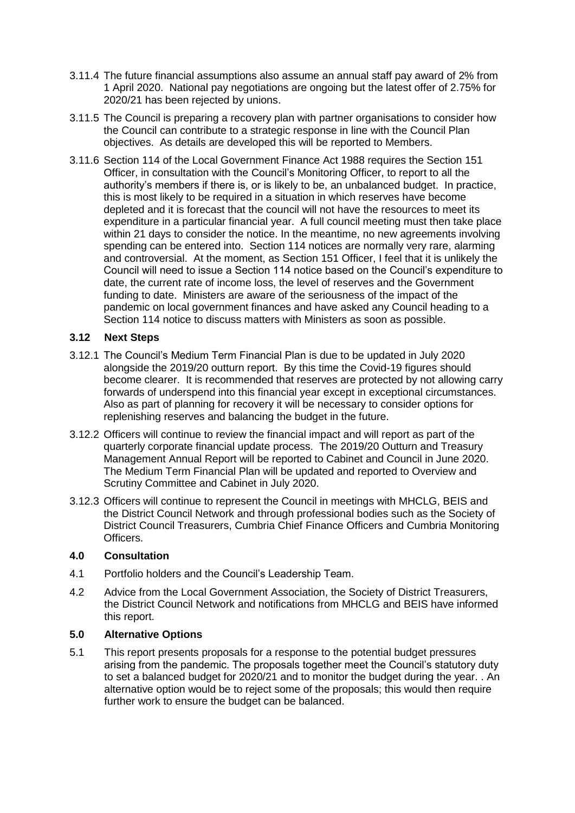- 3.11.4 The future financial assumptions also assume an annual staff pay award of 2% from 1 April 2020. National pay negotiations are ongoing but the latest offer of 2.75% for 2020/21 has been rejected by unions.
- 3.11.5 The Council is preparing a recovery plan with partner organisations to consider how the Council can contribute to a strategic response in line with the Council Plan objectives. As details are developed this will be reported to Members.
- 3.11.6 Section 114 of the Local Government Finance Act 1988 requires the Section 151 Officer, in consultation with the Council's Monitoring Officer, to report to all the authority's members if there is, or is likely to be, an unbalanced budget. In practice, this is most likely to be required in a situation in which reserves have become depleted and it is forecast that the council will not have the resources to meet its expenditure in a particular financial year. A full council meeting must then take place within 21 days to consider the notice. In the meantime, no new agreements involving spending can be entered into. Section 114 notices are normally very rare, alarming and controversial. At the moment, as Section 151 Officer, I feel that it is unlikely the Council will need to issue a Section 114 notice based on the Council's expenditure to date, the current rate of income loss, the level of reserves and the Government funding to date. Ministers are aware of the seriousness of the impact of the pandemic on local government finances and have asked any Council heading to a Section 114 notice to discuss matters with Ministers as soon as possible.

#### **3.12 Next Steps**

- 3.12.1 The Council's Medium Term Financial Plan is due to be updated in July 2020 alongside the 2019/20 outturn report. By this time the Covid-19 figures should become clearer. It is recommended that reserves are protected by not allowing carry forwards of underspend into this financial year except in exceptional circumstances. Also as part of planning for recovery it will be necessary to consider options for replenishing reserves and balancing the budget in the future.
- 3.12.2 Officers will continue to review the financial impact and will report as part of the quarterly corporate financial update process. The 2019/20 Outturn and Treasury Management Annual Report will be reported to Cabinet and Council in June 2020. The Medium Term Financial Plan will be updated and reported to Overview and Scrutiny Committee and Cabinet in July 2020.
- 3.12.3 Officers will continue to represent the Council in meetings with MHCLG, BEIS and the District Council Network and through professional bodies such as the Society of District Council Treasurers, Cumbria Chief Finance Officers and Cumbria Monitoring Officers.

#### **4.0 Consultation**

- 4.1 Portfolio holders and the Council's Leadership Team.
- 4.2 Advice from the Local Government Association, the Society of District Treasurers, the District Council Network and notifications from MHCLG and BEIS have informed this report.

#### **5.0 Alternative Options**

5.1 This report presents proposals for a response to the potential budget pressures arising from the pandemic. The proposals together meet the Council's statutory duty to set a balanced budget for 2020/21 and to monitor the budget during the year. . An alternative option would be to reject some of the proposals; this would then require further work to ensure the budget can be balanced.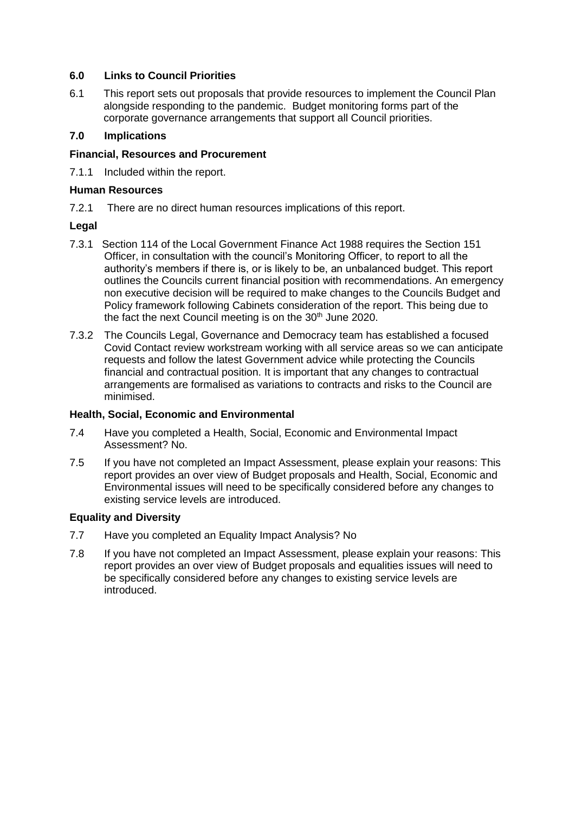#### **6.0 Links to Council Priorities**

6.1 This report sets out proposals that provide resources to implement the Council Plan alongside responding to the pandemic. Budget monitoring forms part of the corporate governance arrangements that support all Council priorities.

## **7.0 Implications**

#### **Financial, Resources and Procurement**

7.1.1 Included within the report.

#### **Human Resources**

7.2.1 There are no direct human resources implications of this report.

## **Legal**

- 7.3.1 Section 114 of the Local Government Finance Act 1988 requires the Section 151 Officer, in consultation with the council's Monitoring Officer, to report to all the authority's members if there is, or is likely to be, an unbalanced budget. This report outlines the Councils current financial position with recommendations. An emergency non executive decision will be required to make changes to the Councils Budget and Policy framework following Cabinets consideration of the report. This being due to the fact the next Council meeting is on the 30<sup>th</sup> June 2020.
- 7.3.2 The Councils Legal, Governance and Democracy team has established a focused Covid Contact review workstream working with all service areas so we can anticipate requests and follow the latest Government advice while protecting the Councils financial and contractual position. It is important that any changes to contractual arrangements are formalised as variations to contracts and risks to the Council are minimised.

#### **Health, Social, Economic and Environmental**

- 7.4 Have you completed a Health, Social, Economic and Environmental Impact Assessment? No.
- 7.5 If you have not completed an Impact Assessment, please explain your reasons: This report provides an over view of Budget proposals and Health, Social, Economic and Environmental issues will need to be specifically considered before any changes to existing service levels are introduced.

## **Equality and Diversity**

- 7.7 Have you completed an Equality Impact Analysis? No
- 7.8 If you have not completed an Impact Assessment, please explain your reasons: This report provides an over view of Budget proposals and equalities issues will need to be specifically considered before any changes to existing service levels are introduced.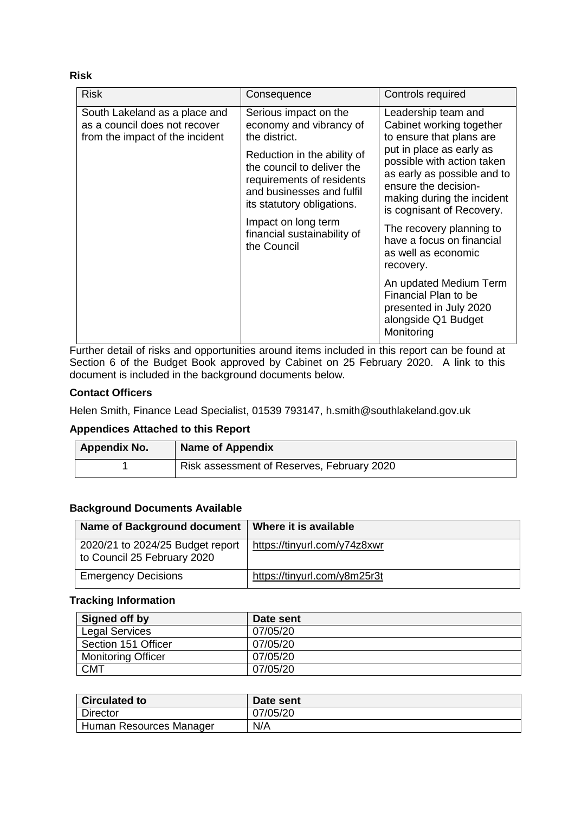**Risk**

| <b>Risk</b>                                                                                       | Consequence                                                                                                                                                                                                                                                                                 | Controls required                                                                                                                                                                                                                                                                                                                                                                                                                                                     |
|---------------------------------------------------------------------------------------------------|---------------------------------------------------------------------------------------------------------------------------------------------------------------------------------------------------------------------------------------------------------------------------------------------|-----------------------------------------------------------------------------------------------------------------------------------------------------------------------------------------------------------------------------------------------------------------------------------------------------------------------------------------------------------------------------------------------------------------------------------------------------------------------|
| South Lakeland as a place and<br>as a council does not recover<br>from the impact of the incident | Serious impact on the<br>economy and vibrancy of<br>the district.<br>Reduction in the ability of<br>the council to deliver the<br>requirements of residents<br>and businesses and fulfil<br>its statutory obligations.<br>Impact on long term<br>financial sustainability of<br>the Council | Leadership team and<br>Cabinet working together<br>to ensure that plans are<br>put in place as early as<br>possible with action taken<br>as early as possible and to<br>ensure the decision-<br>making during the incident<br>is cognisant of Recovery.<br>The recovery planning to<br>have a focus on financial<br>as well as economic<br>recovery.<br>An updated Medium Term<br>Financial Plan to be<br>presented in July 2020<br>alongside Q1 Budget<br>Monitoring |

Further detail of risks and opportunities around items included in this report can be found at Section 6 of the Budget Book approved by Cabinet on 25 February 2020. A link to this document is included in the background documents below.

#### **Contact Officers**

Helen Smith, Finance Lead Specialist, 01539 793147, h.smith@southlakeland.gov.uk

## **Appendices Attached to this Report**

| <b>Appendix No.</b> | <b>Name of Appendix</b>                    |
|---------------------|--------------------------------------------|
|                     | Risk assessment of Reserves, February 2020 |

#### **Background Documents Available**

| Name of Background document                                     | Where it is available        |
|-----------------------------------------------------------------|------------------------------|
| 2020/21 to 2024/25 Budget report<br>to Council 25 February 2020 | https://tinyurl.com/y74z8xwr |
| <b>Emergency Decisions</b>                                      | https://tinyurl.com/y8m25r3t |

#### **Tracking Information**

| Signed off by             | Date sent |
|---------------------------|-----------|
| <b>Legal Services</b>     | 07/05/20  |
| Section 151 Officer       | 07/05/20  |
| <b>Monitoring Officer</b> | 07/05/20  |
| <b>CMT</b>                | 07/05/20  |

| <b>Circulated to</b>    | Date sent |
|-------------------------|-----------|
| Director                | 07/05/20  |
| Human Resources Manager | N/A       |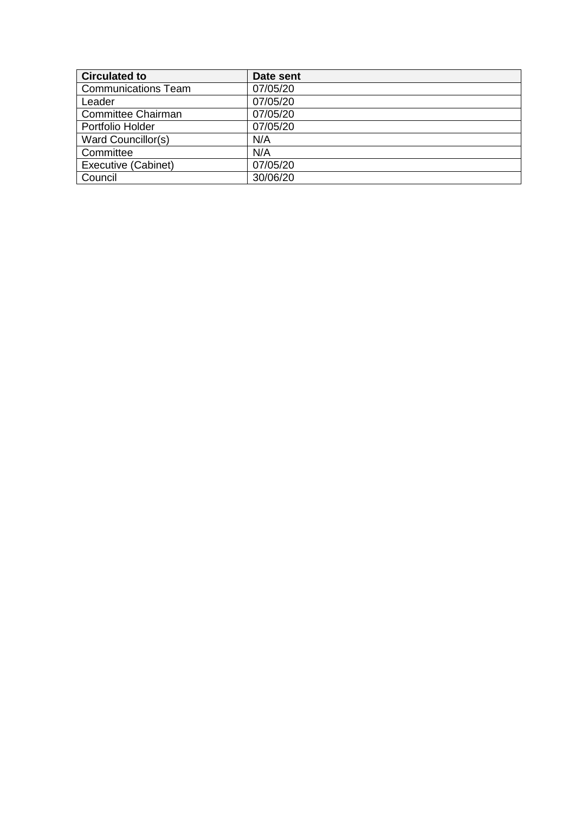| <b>Circulated to</b>       | Date sent |
|----------------------------|-----------|
| <b>Communications Team</b> | 07/05/20  |
| Leader                     | 07/05/20  |
| <b>Committee Chairman</b>  | 07/05/20  |
| Portfolio Holder           | 07/05/20  |
| Ward Councillor(s)         | N/A       |
| Committee                  | N/A       |
| Executive (Cabinet)        | 07/05/20  |
| Council                    | 30/06/20  |